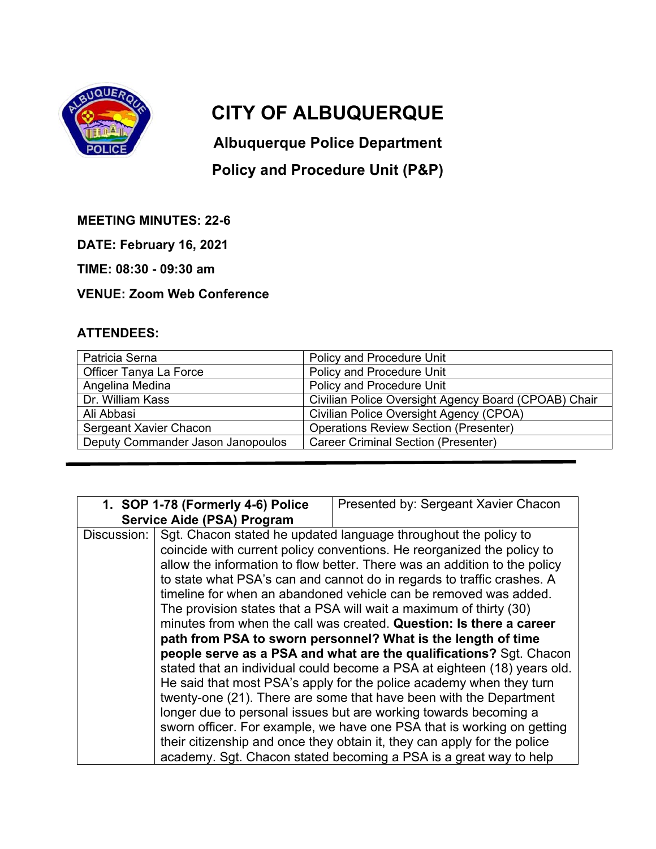

## **CITY OF ALBUQUERQUE**

**Albuquerque Police Department** 

## **Policy and Procedure Unit (P&P)**

**MEETING MINUTES: 22-6** 

**DATE: February 16, 2021** 

**TIME: 08:30 - 09:30 am** 

**VENUE: Zoom Web Conference** 

## **ATTENDEES:**

| Patricia Serna                    | Policy and Procedure Unit                            |
|-----------------------------------|------------------------------------------------------|
| Officer Tanya La Force            | Policy and Procedure Unit                            |
| Angelina Medina                   | Policy and Procedure Unit                            |
| Dr. William Kass                  | Civilian Police Oversight Agency Board (CPOAB) Chair |
| Ali Abbasi                        | Civilian Police Oversight Agency (CPOA)              |
| Sergeant Xavier Chacon            | <b>Operations Review Section (Presenter)</b>         |
| Deputy Commander Jason Janopoulos | <b>Career Criminal Section (Presenter)</b>           |

| 1. SOP 1-78 (Formerly 4-6) Police |                                                                           | Presented by: Sergeant Xavier Chacon                                     |  |
|-----------------------------------|---------------------------------------------------------------------------|--------------------------------------------------------------------------|--|
|                                   | Service Aide (PSA) Program                                                |                                                                          |  |
| Discussion:                       |                                                                           | Sgt. Chacon stated he updated language throughout the policy to          |  |
|                                   | coincide with current policy conventions. He reorganized the policy to    |                                                                          |  |
|                                   | allow the information to flow better. There was an addition to the policy |                                                                          |  |
|                                   | to state what PSA's can and cannot do in regards to traffic crashes. A    |                                                                          |  |
|                                   | timeline for when an abandoned vehicle can be removed was added.          |                                                                          |  |
|                                   | The provision states that a PSA will wait a maximum of thirty (30)        |                                                                          |  |
|                                   | minutes from when the call was created. Question: Is there a career       |                                                                          |  |
|                                   | path from PSA to sworn personnel? What is the length of time              |                                                                          |  |
|                                   | people serve as a PSA and what are the qualifications? Sgt. Chacon        |                                                                          |  |
|                                   | stated that an individual could become a PSA at eighteen (18) years old.  |                                                                          |  |
|                                   |                                                                           | He said that most PSA's apply for the police academy when they turn      |  |
|                                   |                                                                           | twenty-one (21). There are some that have been with the Department       |  |
|                                   |                                                                           | longer due to personal issues but are working towards becoming a         |  |
|                                   |                                                                           | sworn officer. For example, we have one PSA that is working on getting   |  |
|                                   |                                                                           | their citizenship and once they obtain it, they can apply for the police |  |
|                                   |                                                                           | academy. Sgt. Chacon stated becoming a PSA is a great way to help        |  |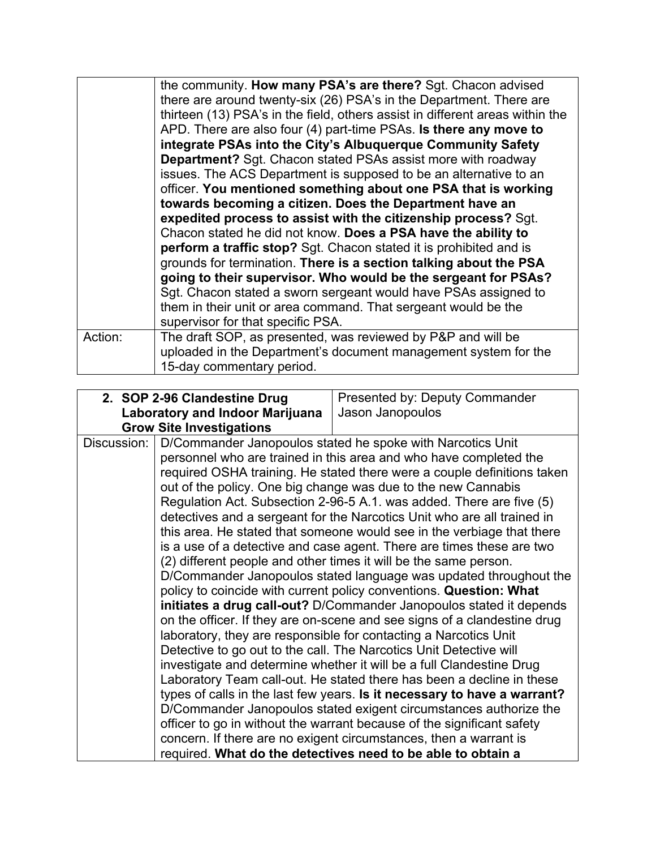|         | the community. How many PSA's are there? Sgt. Chacon advised                  |  |  |
|---------|-------------------------------------------------------------------------------|--|--|
|         | there are around twenty-six (26) PSA's in the Department. There are           |  |  |
|         | thirteen (13) PSA's in the field, others assist in different areas within the |  |  |
|         | APD. There are also four (4) part-time PSAs. Is there any move to             |  |  |
|         | integrate PSAs into the City's Albuquerque Community Safety                   |  |  |
|         | <b>Department?</b> Sgt. Chacon stated PSAs assist more with roadway           |  |  |
|         | issues. The ACS Department is supposed to be an alternative to an             |  |  |
|         | officer. You mentioned something about one PSA that is working                |  |  |
|         | towards becoming a citizen. Does the Department have an                       |  |  |
|         | expedited process to assist with the citizenship process? Sgt.                |  |  |
|         | Chacon stated he did not know. Does a PSA have the ability to                 |  |  |
|         | perform a traffic stop? Sgt. Chacon stated it is prohibited and is            |  |  |
|         | grounds for termination. There is a section talking about the PSA             |  |  |
|         | going to their supervisor. Who would be the sergeant for PSAs?                |  |  |
|         | Sgt. Chacon stated a sworn sergeant would have PSAs assigned to               |  |  |
|         | them in their unit or area command. That sergeant would be the                |  |  |
|         | supervisor for that specific PSA.                                             |  |  |
| Action: | The draft SOP, as presented, was reviewed by P&P and will be                  |  |  |
|         | uploaded in the Department's document management system for the               |  |  |
|         | 15-day commentary period.                                                     |  |  |

| 2. SOP 2-96 Clandestine Drug    | Presented by: Deputy Commander                                                                                                                                                                                                                                                                                                                                                                                                                                                                                                                                                                                                                                                                                                                                                                                                                                                                                                                                                                                                                                                                                                                                                                                                                                                                                                                                                                                                                                                                                                                 |
|---------------------------------|------------------------------------------------------------------------------------------------------------------------------------------------------------------------------------------------------------------------------------------------------------------------------------------------------------------------------------------------------------------------------------------------------------------------------------------------------------------------------------------------------------------------------------------------------------------------------------------------------------------------------------------------------------------------------------------------------------------------------------------------------------------------------------------------------------------------------------------------------------------------------------------------------------------------------------------------------------------------------------------------------------------------------------------------------------------------------------------------------------------------------------------------------------------------------------------------------------------------------------------------------------------------------------------------------------------------------------------------------------------------------------------------------------------------------------------------------------------------------------------------------------------------------------------------|
|                                 | Jason Janopoulos                                                                                                                                                                                                                                                                                                                                                                                                                                                                                                                                                                                                                                                                                                                                                                                                                                                                                                                                                                                                                                                                                                                                                                                                                                                                                                                                                                                                                                                                                                                               |
| <b>Grow Site Investigations</b> |                                                                                                                                                                                                                                                                                                                                                                                                                                                                                                                                                                                                                                                                                                                                                                                                                                                                                                                                                                                                                                                                                                                                                                                                                                                                                                                                                                                                                                                                                                                                                |
|                                 | D/Commander Janopoulos stated he spoke with Narcotics Unit<br>personnel who are trained in this area and who have completed the<br>required OSHA training. He stated there were a couple definitions taken<br>out of the policy. One big change was due to the new Cannabis<br>Regulation Act. Subsection 2-96-5 A.1. was added. There are five (5)<br>detectives and a sergeant for the Narcotics Unit who are all trained in<br>this area. He stated that someone would see in the verbiage that there<br>is a use of a detective and case agent. There are times these are two<br>(2) different people and other times it will be the same person.<br>D/Commander Janopoulos stated language was updated throughout the<br>policy to coincide with current policy conventions. Question: What<br>initiates a drug call-out? D/Commander Janopoulos stated it depends<br>on the officer. If they are on-scene and see signs of a clandestine drug<br>laboratory, they are responsible for contacting a Narcotics Unit<br>Detective to go out to the call. The Narcotics Unit Detective will<br>investigate and determine whether it will be a full Clandestine Drug<br>Laboratory Team call-out. He stated there has been a decline in these<br>types of calls in the last few years. Is it necessary to have a warrant?<br>D/Commander Janopoulos stated exigent circumstances authorize the<br>officer to go in without the warrant because of the significant safety<br>concern. If there are no exigent circumstances, then a warrant is |
|                                 | <b>Laboratory and Indoor Marijuana</b><br>required. What do the detectives need to be able to obtain a                                                                                                                                                                                                                                                                                                                                                                                                                                                                                                                                                                                                                                                                                                                                                                                                                                                                                                                                                                                                                                                                                                                                                                                                                                                                                                                                                                                                                                         |